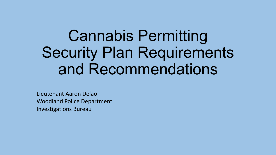#### Cannabis Permitting Security Plan Requirements and Recommendations

Lieutenant Aaron Delao Woodland Police Department Investigations Bureau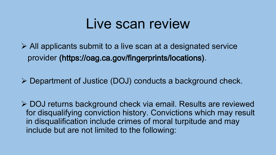#### Live scan review

- $\triangleright$  All applicants submit to a live scan at a designated service provider (https://oag.ca.gov/fingerprints/locations).
- Department of Justice (DOJ) conducts a background check.

 DOJ returns background check via email. Results are reviewed for disqualifying conviction history. Convictions which may result in disqualification include crimes of moral turpitude and may include but are not limited to the following: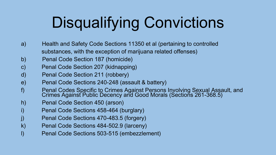# Disqualifying Convictions

- a) Health and Safety Code Sections 11350 et al (pertaining to controlled substances, with the exception of marijuana related offenses)
- b) Penal Code Section 187 (homicide)
- c) Penal Code Section 207 (kidnapping)
- d) Penal Code Section 211 (robbery)
- e) Penal Code Sections 240-248 (assault & battery)
- f) Penal Codes Specific to Crimes Against Persons Involving Sexual Assault, and Crimes Against Public Decency and Good Morals (Sections 261-368.5)
- h) Penal Code Section 450 (arson)
- i) Penal Code Sections 458-464 (burglary)
- j) Penal Code Sections 470-483.5 (forgery)
- k) Penal Code Sections 484-502.9 (larceny)
- l) Penal Code Sections 503-515 (embezzlement)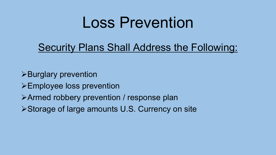#### Loss Prevention

#### Security Plans Shall Address the Following:

- **≻Burglary prevention**
- Employee loss prevention
- Armed robbery prevention / response plan
- **≻Storage of large amounts U.S. Currency on site**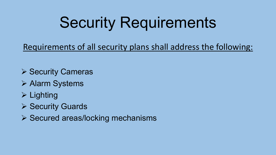## Security Requirements

Requirements of all security plans shall address the following:

- **≻ Security Cameras**
- **≻ Alarm Systems**
- $\triangleright$  Lighting
- **▶ Security Guards**
- $\triangleright$  Secured areas/locking mechanisms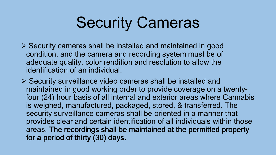### Security Cameras

- Security cameras shall be installed and maintained in good condition, and the camera and recording system must be of adequate quality, color rendition and resolution to allow the identification of an individual.
- Security surveillance video cameras shall be installed and maintained in good working order to provide coverage on a twentyfour (24) hour basis of all internal and exterior areas where Cannabis is weighed, manufactured, packaged, stored, & transferred. The security surveillance cameras shall be oriented in a manner that provides clear and certain identification of all individuals within those areas. The recordings shall be maintained at the permitted property for a period of thirty (30) days.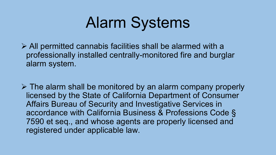## Alarm Systems

- All permitted cannabis facilities shall be alarmed with a professionally installed centrally-monitored fire and burglar alarm system.
- $\triangleright$  The alarm shall be monitored by an alarm company properly licensed by the State of California Department of Consumer Affairs Bureau of Security and Investigative Services in accordance with California Business & Professions Code § 7590 et seq., and whose agents are properly licensed and registered under applicable law.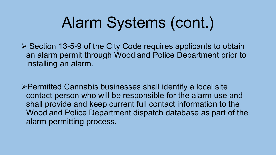## Alarm Systems (cont.)

 $\triangleright$  Section 13-5-9 of the City Code requires applicants to obtain an alarm permit through Woodland Police Department prior to installing an alarm.

Permitted Cannabis businesses shall identify a local site contact person who will be responsible for the alarm use and shall provide and keep current full contact information to the Woodland Police Department dispatch database as part of the alarm permitting process.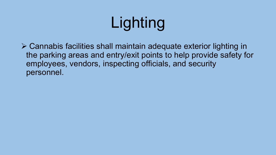# Lighting

 Cannabis facilities shall maintain adequate exterior lighting in the parking areas and entry/exit points to help provide safety for employees, vendors, inspecting officials, and security personnel.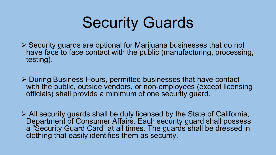## Security Guards

- $\triangleright$  Security guards are optional for Marijuana businesses that do not have face to face contact with the public (manufacturing, processing, testing).
- ▶ During Business Hours, permitted businesses that have contact with the public, outside vendors, or non-employees (except licensing officials) shall provide a minimum of one security guard.
- $\triangleright$  All security guards shall be duly licensed by the State of California, Department of Consumer Affairs. Each security guard shall possess a "Security Guard Card" at all times. The guards shall be dressed in clothing that easily identifies them as security.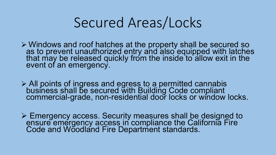#### Secured Areas/Locks

- Windows and roof hatches at the property shall be secured so as to prevent unauthorized entry and also equipped with latches that may be released quickly from the inside to allow exit in the event of an emergency.
- ▶ All points of ingress and egress to a permitted cannabis business shall be secured with Building Code compliant commercial-grade, non-residential door locks or window locks.
- Emergency access. Security measures shall be designed to ensure emergency access in compliance the California Fire Code and Woodland Fire Department standards.